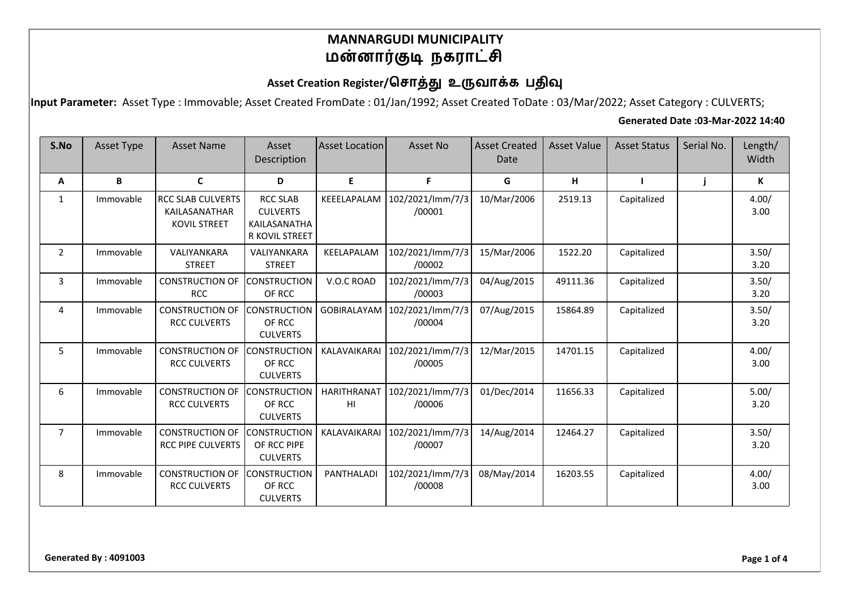# Asset Creation Register/சொத்து உருவாக்க பதிவு

**Input Parameter:** Asset Type : Immovable; Asset Created FromDate : 01/Jan/1992; Asset Created ToDate : 03/Mar/2022; Asset Category : CULVERTS;

#### **Generated Date :03-Mar-2022 14:40**

| S.No           | <b>Asset Type</b> | <b>Asset Name</b>                                                | Asset<br>Description                                                 | <b>Asset Location</b>    | Asset No                   | <b>Asset Created</b><br>Date | <b>Asset Value</b> | <b>Asset Status</b> | Serial No. | Length/<br>Width |
|----------------|-------------------|------------------------------------------------------------------|----------------------------------------------------------------------|--------------------------|----------------------------|------------------------------|--------------------|---------------------|------------|------------------|
| A              | B                 | C                                                                | D                                                                    | E.                       | F                          | G                            | н                  |                     |            | К                |
| $\mathbf{1}$   | Immovable         | <b>RCC SLAB CULVERTS</b><br>KAILASANATHAR<br><b>KOVIL STREET</b> | <b>RCC SLAB</b><br><b>CULVERTS</b><br>KAILASANATHA<br>R KOVIL STREET | KEEELAPALAM              | 102/2021/lmm/7/3<br>/00001 | 10/Mar/2006                  | 2519.13            | Capitalized         |            | 4.00/<br>3.00    |
| 2              | Immovable         | VALIYANKARA<br><b>STREET</b>                                     | VALIYANKARA<br><b>STREET</b>                                         | KEELAPALAM               | 102/2021/lmm/7/3<br>/00002 | 15/Mar/2006                  | 1522.20            | Capitalized         |            | 3.50/<br>3.20    |
| 3              | Immovable         | <b>CONSTRUCTION OF</b><br><b>RCC</b>                             | <b>CONSTRUCTION</b><br>OF RCC                                        | V.O.C ROAD               | 102/2021/lmm/7/3<br>/00003 | 04/Aug/2015                  | 49111.36           | Capitalized         |            | 3.50/<br>3.20    |
| 4              | Immovable         | <b>CONSTRUCTION OF</b><br><b>RCC CULVERTS</b>                    | <b>CONSTRUCTION</b><br>OF RCC<br><b>CULVERTS</b>                     | GOBIRALAYAM              | 102/2021/lmm/7/3<br>/00004 | 07/Aug/2015                  | 15864.89           | Capitalized         |            | 3.50/<br>3.20    |
| 5              | Immovable         | <b>CONSTRUCTION OF</b><br><b>RCC CULVERTS</b>                    | <b>CONSTRUCTION</b><br>OF RCC<br><b>CULVERTS</b>                     | KALAVAIKARAI             | 102/2021/lmm/7/3<br>/00005 | 12/Mar/2015                  | 14701.15           | Capitalized         |            | 4.00/<br>3.00    |
| 6              | Immovable         | <b>CONSTRUCTION OF</b><br><b>RCC CULVERTS</b>                    | <b>CONSTRUCTION</b><br>OF RCC<br><b>CULVERTS</b>                     | <b>HARITHRANAT</b><br>HI | 102/2021/lmm/7/3<br>/00006 | 01/Dec/2014                  | 11656.33           | Capitalized         |            | 5.00/<br>3.20    |
| $\overline{7}$ | Immovable         | <b>CONSTRUCTION OF</b><br><b>RCC PIPE CULVERTS</b>               | <b>CONSTRUCTION</b><br>OF RCC PIPE<br><b>CULVERTS</b>                | KALAVAIKARAI             | 102/2021/lmm/7/3<br>/00007 | 14/Aug/2014                  | 12464.27           | Capitalized         |            | 3.50/<br>3.20    |
| 8              | Immovable         | <b>CONSTRUCTION OF</b><br><b>RCC CULVERTS</b>                    | <b>CONSTRUCTION</b><br>OF RCC<br><b>CULVERTS</b>                     | <b>PANTHALADI</b>        | 102/2021/lmm/7/3<br>/00008 | 08/May/2014                  | 16203.55           | Capitalized         |            | 4.00/<br>3.00    |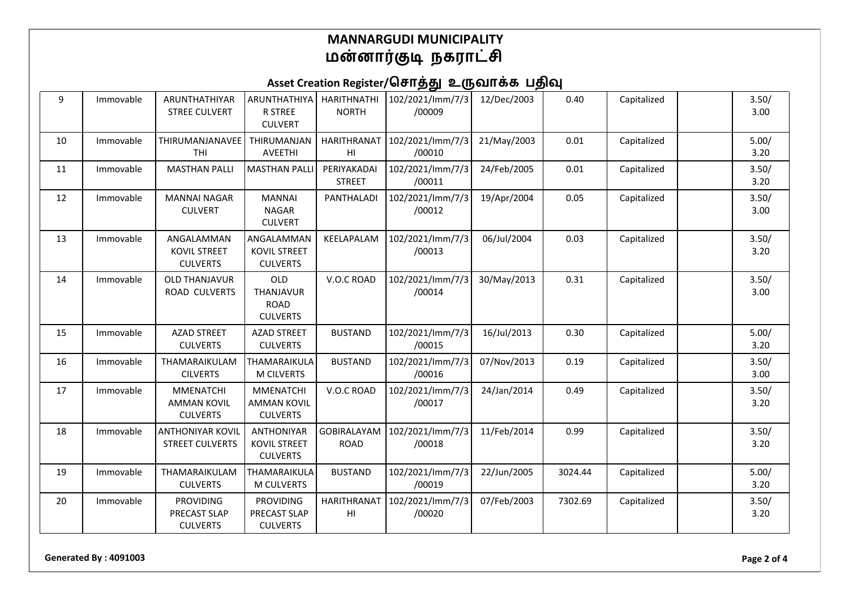# Asset Creation Register/சொத்து உருவாக்க பதிவு

| 9  | Immovable | ARUNTHATHIYAR<br><b>STREE CULVERT</b>                     | ARUNTHATHIYA<br><b>R STREE</b><br><b>CULVERT</b>            | <b>HARITHNATHI</b><br><b>NORTH</b>           | 102/2021/lmm/7/3<br>/00009 | 12/Dec/2003 | 0.40    | Capitalized | 3.50/<br>3.00 |
|----|-----------|-----------------------------------------------------------|-------------------------------------------------------------|----------------------------------------------|----------------------------|-------------|---------|-------------|---------------|
| 10 | Immovable | THIRUMANJANAVEE<br><b>THI</b>                             | THIRUMANJAN<br>AVEETHI                                      | <b>HARITHRANAT</b><br>H <sub>II</sub>        | 102/2021/lmm/7/3<br>/00010 | 21/May/2003 | 0.01    | Capitalized | 5.00/<br>3.20 |
| 11 | Immovable | <b>MASTHAN PALLI</b>                                      | <b>MASTHAN PALLI</b>                                        | PERIYAKADAI<br><b>STREET</b>                 | 102/2021/lmm/7/3<br>/00011 | 24/Feb/2005 | 0.01    | Capitalized | 3.50/<br>3.20 |
| 12 | Immovable | <b>MANNAI NAGAR</b><br><b>CULVERT</b>                     | <b>MANNAI</b><br><b>NAGAR</b><br><b>CULVERT</b>             | PANTHALADI                                   | 102/2021/lmm/7/3<br>/00012 | 19/Apr/2004 | 0.05    | Capitalized | 3.50/<br>3.00 |
| 13 | Immovable | ANGALAMMAN<br><b>KOVIL STREET</b><br><b>CULVERTS</b>      | ANGALAMMAN<br><b>KOVIL STREET</b><br><b>CULVERTS</b>        | KEELAPALAM                                   | 102/2021/lmm/7/3<br>/00013 | 06/Jul/2004 | 0.03    | Capitalized | 3.50/<br>3.20 |
| 14 | Immovable | <b>OLD THANJAVUR</b><br>ROAD CULVERTS                     | <b>OLD</b><br>THANJAVUR<br><b>ROAD</b><br><b>CULVERTS</b>   | V.O.C ROAD                                   | 102/2021/lmm/7/3<br>/00014 | 30/May/2013 | 0.31    | Capitalized | 3.50/<br>3.00 |
| 15 | Immovable | <b>AZAD STREET</b><br><b>CULVERTS</b>                     | <b>AZAD STREET</b><br><b>CULVERTS</b>                       | <b>BUSTAND</b>                               | 102/2021/lmm/7/3<br>/00015 | 16/Jul/2013 | 0.30    | Capitalized | 5.00/<br>3.20 |
| 16 | Immovable | THAMARAIKULAM<br><b>CILVERTS</b>                          | THAMARAIKULA<br><b>M CILVERTS</b>                           | <b>BUSTAND</b>                               | 102/2021/lmm/7/3<br>/00016 | 07/Nov/2013 | 0.19    | Capitalized | 3.50/<br>3.00 |
| 17 | Immovable | <b>MMENATCHI</b><br><b>AMMAN KOVIL</b><br><b>CULVERTS</b> | <b>MMENATCHI</b><br><b>AMMAN KOVIL</b><br><b>CULVERTS</b>   | V.O.C ROAD                                   | 102/2021/lmm/7/3<br>/00017 | 24/Jan/2014 | 0.49    | Capitalized | 3.50/<br>3.20 |
| 18 | Immovable | <b>ANTHONIYAR KOVIL</b><br><b>STREET CULVERTS</b>         | <b>ANTHONIYAR</b><br><b>KOVIL STREET</b><br><b>CULVERTS</b> | <b>GOBIRALAYAM</b><br><b>ROAD</b>            | 102/2021/lmm/7/3<br>/00018 | 11/Feb/2014 | 0.99    | Capitalized | 3.50/<br>3.20 |
| 19 | Immovable | THAMARAIKULAM<br><b>CULVERTS</b>                          | THAMARAIKULA<br><b>M CULVERTS</b>                           | <b>BUSTAND</b>                               | 102/2021/lmm/7/3<br>/00019 | 22/Jun/2005 | 3024.44 | Capitalized | 5.00/<br>3.20 |
| 20 | Immovable | <b>PROVIDING</b><br>PRECAST SLAP<br><b>CULVERTS</b>       | <b>PROVIDING</b><br>PRECAST SLAP<br><b>CULVERTS</b>         | <b>HARITHRANAT</b><br>$\mathsf{H}\mathsf{I}$ | 102/2021/lmm/7/3<br>/00020 | 07/Feb/2003 | 7302.69 | Capitalized | 3.50/<br>3.20 |

**Generated By : 4091003 Page 2 of 4**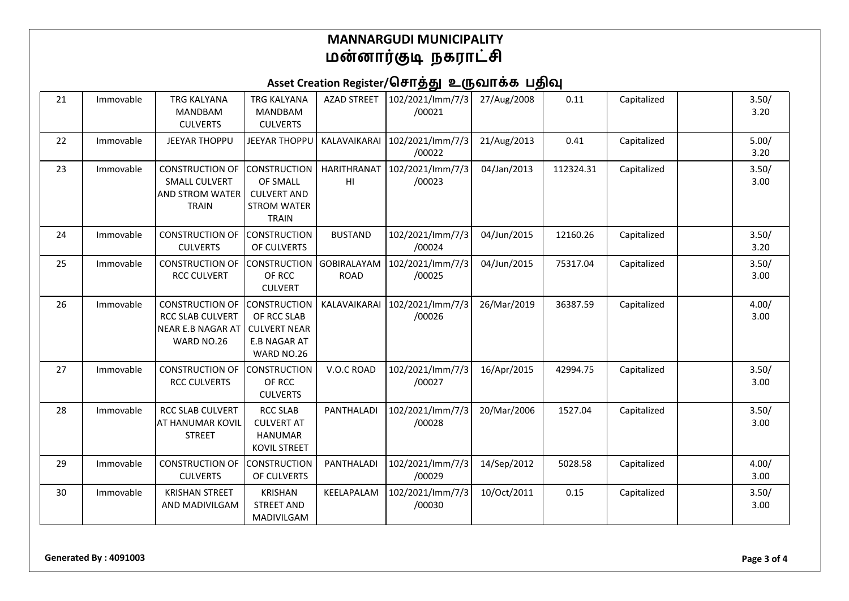# Asset Creation Register/சொத்து உருவாக்க பதிவு

| 21 | Immovable | <b>TRG KALYANA</b><br><b>MANDBAM</b><br><b>CULVERTS</b>                                  | <b>TRG KALYANA</b><br><b>MANDBAM</b><br><b>CULVERTS</b>                                        | <b>AZAD STREET</b>                | 102/2021/lmm/7/3<br>/00021 | 27/Aug/2008 | 0.11      | Capitalized | 3.50/<br>3.20 |
|----|-----------|------------------------------------------------------------------------------------------|------------------------------------------------------------------------------------------------|-----------------------------------|----------------------------|-------------|-----------|-------------|---------------|
| 22 | Immovable | <b>JEEYAR THOPPU</b>                                                                     | <b>JEEYAR THOPPU</b>                                                                           | <b>KALAVAIKARAI</b>               | 102/2021/lmm/7/3<br>/00022 | 21/Aug/2013 | 0.41      | Capitalized | 5.00/<br>3.20 |
| 23 | Immovable | <b>CONSTRUCTION OF</b><br><b>SMALL CULVERT</b><br><b>AND STROM WATER</b><br><b>TRAIN</b> | <b>CONSTRUCTION</b><br>OF SMALL<br><b>CULVERT AND</b><br><b>STROM WATER</b><br><b>TRAIN</b>    | HARITHRANAT<br>HI                 | 102/2021/lmm/7/3<br>/00023 | 04/Jan/2013 | 112324.31 | Capitalized | 3.50/<br>3.00 |
| 24 | Immovable | <b>CONSTRUCTION OF</b><br><b>CULVERTS</b>                                                | <b>CONSTRUCTION</b><br>OF CULVERTS                                                             | <b>BUSTAND</b>                    | 102/2021/lmm/7/3<br>/00024 | 04/Jun/2015 | 12160.26  | Capitalized | 3.50/<br>3.20 |
| 25 | Immovable | <b>CONSTRUCTION OF</b><br><b>RCC CULVERT</b>                                             | <b>CONSTRUCTION</b><br>OF RCC<br><b>CULVERT</b>                                                | <b>GOBIRALAYAM</b><br><b>ROAD</b> | 102/2021/lmm/7/3<br>/00025 | 04/Jun/2015 | 75317.04  | Capitalized | 3.50/<br>3.00 |
| 26 | Immovable | <b>CONSTRUCTION OF</b><br><b>RCC SLAB CULVERT</b><br>NEAR E.B NAGAR AT<br>WARD NO.26     | <b>CONSTRUCTION</b><br>OF RCC SLAB<br><b>CULVERT NEAR</b><br><b>E.B NAGAR AT</b><br>WARD NO.26 | KALAVAIKARAI                      | 102/2021/lmm/7/3<br>/00026 | 26/Mar/2019 | 36387.59  | Capitalized | 4.00/<br>3.00 |
| 27 | Immovable | <b>CONSTRUCTION OF</b><br><b>RCC CULVERTS</b>                                            | <b>CONSTRUCTION</b><br>OF RCC<br><b>CULVERTS</b>                                               | V.O.C ROAD                        | 102/2021/lmm/7/3<br>/00027 | 16/Apr/2015 | 42994.75  | Capitalized | 3.50/<br>3.00 |
| 28 | Immovable | <b>RCC SLAB CULVERT</b><br>AT HANUMAR KOVIL<br><b>STREET</b>                             | <b>RCC SLAB</b><br><b>CULVERT AT</b><br><b>HANUMAR</b><br><b>KOVIL STREET</b>                  | PANTHALADI                        | 102/2021/lmm/7/3<br>/00028 | 20/Mar/2006 | 1527.04   | Capitalized | 3.50/<br>3.00 |
| 29 | Immovable | <b>CONSTRUCTION OF</b><br><b>CULVERTS</b>                                                | <b>CONSTRUCTION</b><br>OF CULVERTS                                                             | PANTHALADI                        | 102/2021/lmm/7/3<br>/00029 | 14/Sep/2012 | 5028.58   | Capitalized | 4.00/<br>3.00 |
| 30 | Immovable | <b>KRISHAN STREET</b><br>AND MADIVILGAM                                                  | <b>KRISHAN</b><br><b>STREET AND</b><br>MADIVILGAM                                              | KEELAPALAM                        | 102/2021/lmm/7/3<br>/00030 | 10/Oct/2011 | 0.15      | Capitalized | 3.50/<br>3.00 |